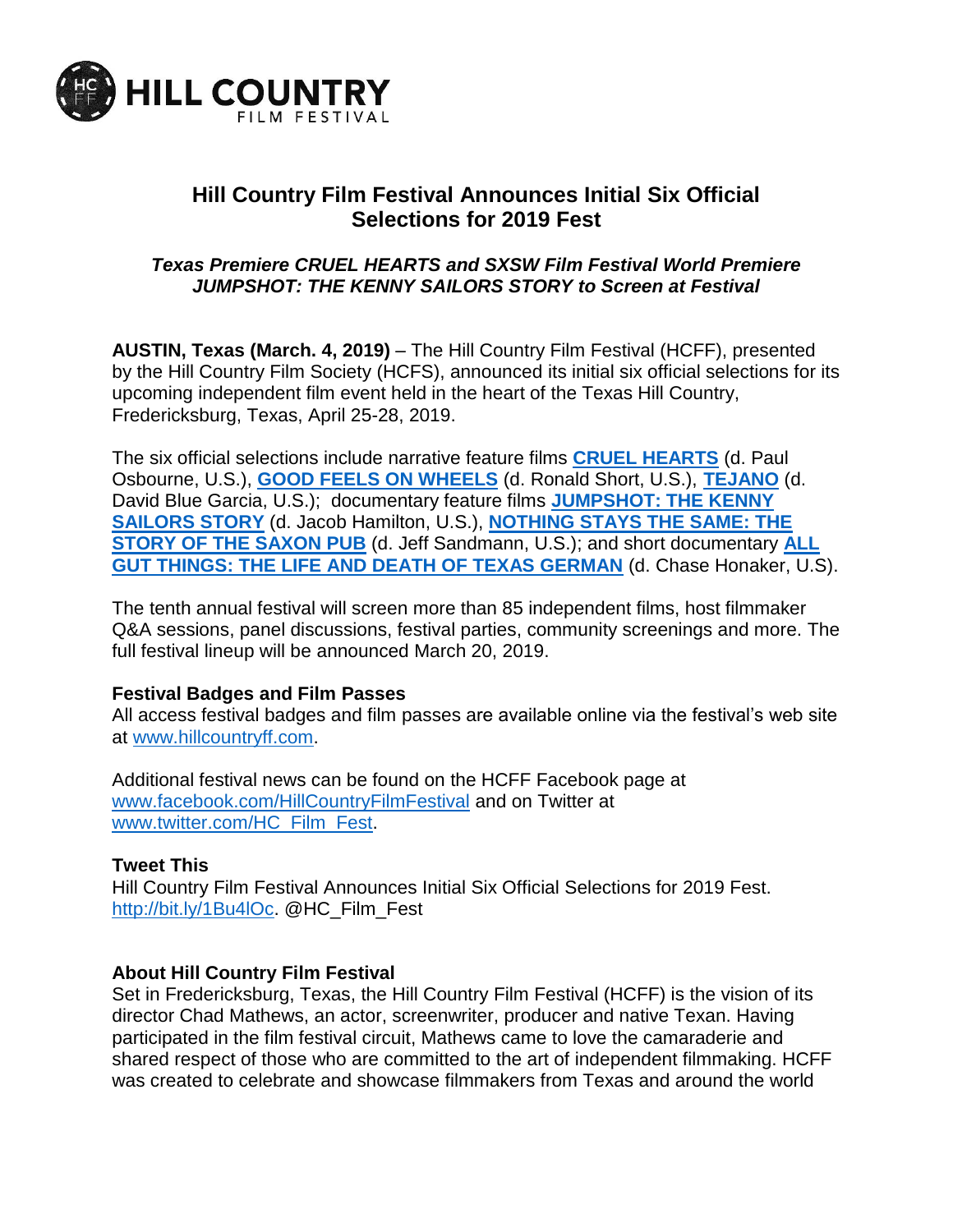

# **Hill Country Film Festival Announces Initial Six Official Selections for 2019 Fest**

## *Texas Premiere CRUEL HEARTS and SXSW Film Festival World Premiere JUMPSHOT: THE KENNY SAILORS STORY to Screen at Festival*

**AUSTIN, Texas (March. 4, 2019)** – The Hill Country Film Festival (HCFF), presented by the Hill Country Film Society (HCFS), announced its initial six official selections for its upcoming independent film event held in the heart of the Texas Hill Country, Fredericksburg, Texas, April 25-28, 2019.

The six official selections include narrative feature films **[CRUEL HEARTS](https://www.imdb.com/title/tt5031388/)** (d. Paul Osbourne, U.S.), **[GOOD FEELS ON WHEELS](https://www.imdb.com/title/tt8554406/)** (d. Ronald Short, U.S.), **[TEJANO](https://www.imdb.com/title/tt8257900/reference)** (d. David Blue Garcia, U.S.); documentary feature films **[JUMPSHOT: THE KENNY](https://www.imdb.com/title/tt4406392/)  [SAILORS STORY](https://www.imdb.com/title/tt4406392/)** (d. Jacob Hamilton, U.S.), **[NOTHING STAYS THE SAME: THE](https://www.imdb.com/title/tt9617758/reference)  [STORY OF THE SAXON PUB](https://www.imdb.com/title/tt9617758/reference)** (d. Jeff Sandmann, U.S.); and short documentary **[ALL](https://www.germantexas.com/)  [GUT THINGS: THE LIFE AND DEATH OF TEXAS GERMAN](https://www.germantexas.com/)** (d. Chase Honaker, U.S).

The tenth annual festival will screen more than 85 independent films, host filmmaker Q&A sessions, panel discussions, festival parties, community screenings and more. The full festival lineup will be announced March 20, 2019.

#### **Festival Badges and Film Passes**

All access festival badges and film passes are available online via the festival's web site at [www.hillcountryff.com.](http://www.hillcountryff.com/)

Additional festival news can be found on the HCFF Facebook page at [www.facebook.com/HillCountryFilmFestival](http://www.facebook.com/HillCountryFilmFestival) and on Twitter at [www.twitter.com/HC\\_Film\\_Fest.](http://www.twitter.com/HC_Film_Fest)

#### **Tweet This**

Hill Country Film Festival Announces Initial Six Official Selections for 2019 Fest. [http://bit.ly/1Bu4lOc.](http://bit.ly/1Bu4lOc) @HC\_Film\_Fest

#### **About Hill Country Film Festival**

Set in Fredericksburg, Texas, the Hill Country Film Festival (HCFF) is the vision of its director Chad Mathews, an actor, screenwriter, producer and native Texan. Having participated in the film festival circuit, Mathews came to love the camaraderie and shared respect of those who are committed to the art of independent filmmaking. HCFF was created to celebrate and showcase filmmakers from Texas and around the world